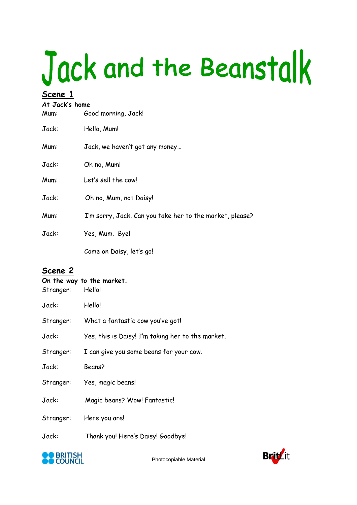# Jack and the Beanstalk

#### **Scene 1**

#### **At Jack's home**

| Mum:  | Good morning, Jack!                                      |
|-------|----------------------------------------------------------|
| Jack: | Hello, Mum!                                              |
| Mum:  | Jack, we haven't got any money                           |
| Jack: | Oh no, Mum!                                              |
| Mum:  | Let's sell the cow!                                      |
| Jack: | Oh no, Mum, not Daisy!                                   |
| Mum:  | I'm sorry, Jack. Can you take her to the market, please? |
| Jack: | Yes, Mum. Bye!                                           |
|       | Come on Daisy, let's go!                                 |

#### **Scene 2**

| On the way to the market.<br>Hello!<br>Stranger: |                                                   |  |
|--------------------------------------------------|---------------------------------------------------|--|
| Jack:                                            | Hello!                                            |  |
| Stranger:                                        | What a fantastic cow you've got!                  |  |
| Jack:                                            | Yes, this is Daisy! I'm taking her to the market. |  |
| Stranger:                                        | I can give you some beans for your cow.           |  |
| Jack:                                            | Beans?                                            |  |
| Stranger:                                        | Yes, magic beans!                                 |  |
| Jack:                                            | Magic beans? Wow! Fantastic!                      |  |
| Stranger:                                        | Here you are!                                     |  |
| Jack:                                            | Thank you! Here's Daisy! Goodbye!                 |  |



Photocopiable Material

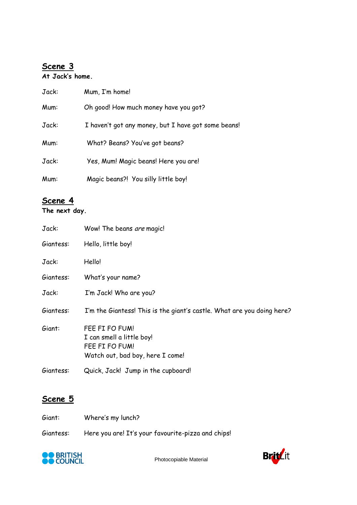# **Scene 3**

#### **At Jack's home.**

| Jack: | Mum, I'm home!                                      |
|-------|-----------------------------------------------------|
| Mum:  | Oh good! How much money have you got?               |
| Jack: | I haven't got any money, but I have got some beans! |
| Mum:  | What? Beans? You've got beans?                      |
| Jack: | Yes, Mum! Magic beans! Here you are!                |
| Mum:  | Magic beans?! You silly little boy!                 |

### **Scene 4**

#### **The next day.**

| Jack:     | Wow! The beans are magic!                                                                         |
|-----------|---------------------------------------------------------------------------------------------------|
| Giantess: | Hello, little boy!                                                                                |
| Jack:     | Hello!                                                                                            |
| Giantess: | What's your name?                                                                                 |
| Jack:     | I'm Jack! Who are you?                                                                            |
| Giantess: | I'm the Giantess! This is the giant's castle. What are you doing here?                            |
| Giant:    | FEE FI FO FUM!<br>I can smell a little boy!<br>FEE FI FO FUM!<br>Watch out, bad boy, here I come! |
| Giantess: | Quick, Jack! Jump in the cupboard!                                                                |

# **Scene 5**

| Giant:    | Where's my lunch?                                  |
|-----------|----------------------------------------------------|
| Giantess: | Here you are! It's your favourite-pizza and chips! |



Photocopiable Material